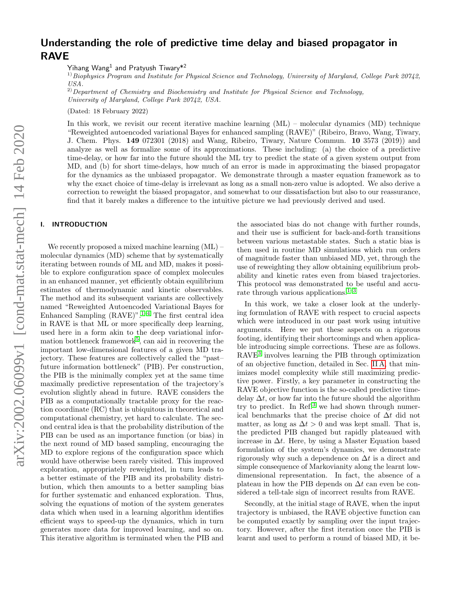# Understanding the role of predictive time delay and biased propagator in RAVE

Yihang Wang $^1$  and Pratyush Tiwary $^{\ast 2}$ 

<sup>1)</sup> Biophysics Program and Institute for Physical Science and Technology, University of Maryland, College Park 20742, USA.

 $^{2)}$  Department of Chemistry and Biochemistry and Institute for Physical Science and Technology, University of Maryland, College Park 20742, USA.

(Dated: 18 February 2022)

In this work, we revisit our recent iterative machine learning (ML) – molecular dynamics (MD) technique "Reweighted autoencoded variational Bayes for enhanced sampling (RAVE)" (Ribeiro, Bravo, Wang, Tiwary, J. Chem. Phys. 149 072301 (2018) and Wang, Ribeiro, Tiwary, Nature Commun. 10 3573 (2019)) and analyze as well as formalize some of its approximations. These including: (a) the choice of a predictive time-delay, or how far into the future should the ML try to predict the state of a given system output from MD, and (b) for short time-delays, how much of an error is made in approximating the biased propagator for the dynamics as the unbiased propagator. We demonstrate through a master equation framework as to why the exact choice of time-delay is irrelevant as long as a small non-zero value is adopted. We also derive a correction to reweight the biased propagator, and somewhat to our dissatisfaction but also to our reassurance, find that it barely makes a difference to the intuitive picture we had previously derived and used.

## I. INTRODUCTION

We recently proposed a mixed machine learning (ML) – molecular dynamics (MD) scheme that by systematically iterating between rounds of ML and MD, makes it possible to explore configuration space of complex molecules in an enhanced manner, yet efficiently obtain equilibrium estimates of thermodynamic and kinetic observables. The method and its subsequent variants are collectively named "Reweighted Autoencoded Variational Bayes for Enhanced Sampling  $(RAVE)^{n}$ .<sup>1-[4](#page-5-1)</sup> The first central idea in RAVE is that ML or more specifically deep learning, used here in a form akin to the deep variational infor-mation bottleneck framework<sup>[5](#page-5-2)</sup>, can aid in recovering the important low-dimensional features of a given MD trajectory. These features are collectively called the "past– future information bottleneck" (PIB). Per construction, the PIB is the minimally complex yet at the same time maximally predictive representation of the trajectory's evolution slightly ahead in future. RAVE considers the PIB as a computationally tractable proxy for the reaction coordinate (RC) that is ubiquitous in theoretical and computational chemistry, yet hard to calculate. The second central idea is that the probability distribution of the PIB can be used as an importance function (or bias) in the next round of MD based sampling, encouraging the MD to explore regions of the configuration space which would have otherwise been rarely visited. This improved exploration, appropriately reweighted, in turn leads to a better estimate of the PIB and its probability distribution, which then amounts to a better sampling bias for further systematic and enhanced exploration. Thus, solving the equations of motion of the system generates data which when used in a learning algorithm identifies efficient ways to speed-up the dynamics, which in turn generates more data for improved learning, and so on. This iterative algorithm is terminated when the PIB and

the associated bias do not change with further rounds, and their use is sufficient for back-and-forth transitions between various metastable states. Such a static bias is then used in routine MD simulations which run orders of magnitude faster than unbiased MD, yet, through the use of reweighting they allow obtaining equilibrium probability and kinetic rates even from biased trajectories. This protocol was demonstrated to be useful and accurate through various applications. $1-3$  $1-3$ 

In this work, we take a closer look at the underlying formulation of RAVE with respect to crucial aspects which were introduced in our past work using intuitive arguments. Here we put these aspects on a rigorous footing, identifying their shortcomings and when applicable introducing simple corrections. These are as follows. RAVE[3](#page-5-3) involves learning the PIB through optimization of an objective function, detailed in Sec. [II A,](#page-1-0) that minimizes model complexity while still maximizing predictive power. Firstly, a key parameter in constructing the RAVE objective function is the so-called predictive timedelay  $\Delta t$ , or how far into the future should the algorithm try to predict. In Ref. $3$  we had shown through numerical benchmarks that the precise choice of  $\Delta t$  did not matter, as long as  $\Delta t > 0$  and was kept small. That is, the predicted PIB changed but rapidly plateaued with increase in  $\Delta t$ . Here, by using a Master Equation based formulation of the system's dynamics, we demonstrate rigorously why such a dependence on  $\Delta t$  is a direct and simple consequence of Markovianity along the learnt lowdimensional representation. In fact, the absence of a plateau in how the PIB depends on  $\Delta t$  can even be considered a tell-tale sign of incorrect results from RAVE.

Secondly, at the initial stage of RAVE, when the input trajectory is unbiased, the RAVE objective function can be computed exactly by sampling over the input trajectory. However, after the first iteration once the PIB is learnt and used to perform a round of biased MD, it be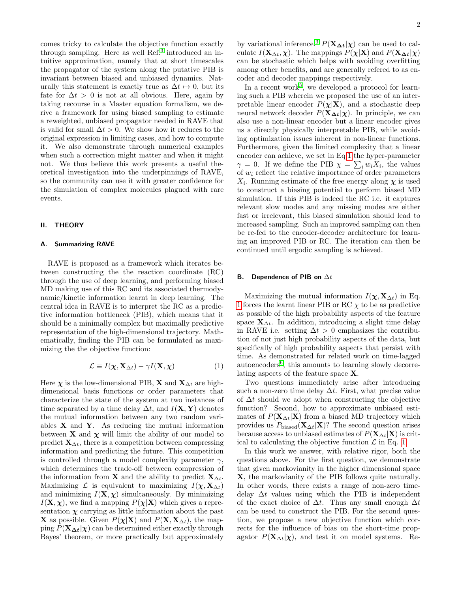comes tricky to calculate the objective function exactly through sampling. Here as well Ref.<sup>[3](#page-5-3)</sup> introduced an intuitive approximation, namely that at short timescales the propagator of the system along the putative PIB is invariant between biased and unbiased dynamics. Naturally this statement is exactly true as  $\Delta t \mapsto 0$ , but its fate for  $\Delta t > 0$  is not at all obvious. Here, again by taking recourse in a Master equation formalism, we derive a framework for using biased sampling to estimate a reweighted, unbiased propagator needed in RAVE that is valid for small  $\Delta t > 0$ . We show how it reduces to the original expression in limiting cases, and how to compute it. We also demonstrate through numerical examples when such a correction might matter and when it might not. We thus believe this work presents a useful theoretical investigation into the underpinnings of RAVE, so the community can use it with greater confidence for the simulation of complex molecules plagued with rare events.

### <span id="page-1-2"></span>II. THEORY

#### <span id="page-1-0"></span>A. Summarizing RAVE

RAVE is proposed as a framework which iterates between constructing the the reaction coordinate (RC) through the use of deep learning, and performing biased MD making use of this RC and its associated thermodynamic/kinetic information learnt in deep learning. The central idea in RAVE is to interpret the RC as a predictive information bottleneck (PIB), which means that it should be a minimally complex but maximally predictive representation of the high-dimensional trajectory. Mathematically, finding the PIB can be formulated as maximizing the the objective function:

<span id="page-1-1"></span>
$$
\mathcal{L} \equiv I(\boldsymbol{\chi}, \mathbf{X}_{\Delta t}) - \gamma I(\mathbf{X}, \boldsymbol{\chi}) \tag{1}
$$

Here  $\chi$  is the low-dimensional PIB, **X** and  $X_{\Delta t}$  are highdimensional basis functions or order parameters that characterize the state of the system at two instances of time separated by a time delay  $\Delta t$ , and  $I(\mathbf{X}, \mathbf{Y})$  denotes the mutual information between any two random variables  $X$  and  $Y$ . As reducing the mutual information between **X** and  $\chi$  will limit the ability of our model to predict  $\mathbf{X}_{\Delta t}$ , there is a competition between compressing information and predicting the future. This competition is controlled through a model complexity parameter  $\gamma$ , which determines the trade-off between compression of the information from **X** and the ability to predict  $\mathbf{X}_{\Delta t}$ . Maximizing  $\mathcal{L}$  is equivalent to maximizing  $I(\chi, \mathbf{X}_{\Delta t})$ and minimizing  $I(\mathbf{X}, \chi)$  simultaneously. By minimizing  $I(\mathbf{X}, \boldsymbol{\chi})$ , we find a mapping  $P(\boldsymbol{\chi}|\mathbf{X})$  which gives a representation  $\chi$  carrying as little information about the past **X** as possible. Given  $P(\chi|\mathbf{X})$  and  $P(\mathbf{X}, \mathbf{X}_{\Delta t})$ , the mapping  $P(\mathbf{X}_{\Delta t}|\boldsymbol{\chi})$  can be determined either exactly through Bayes' theorem, or more practically but approximately

by variational inference.<sup>[3](#page-5-3)</sup>  $P(\mathbf{X}_{\Delta t}|\boldsymbol{\chi})$  can be used to calculate  $I(\mathbf{X}_{\Delta t}, \chi)$ . The mappings  $P(\chi|\mathbf{X})$  and  $P(\mathbf{X}_{\Delta t}|\chi)$ can be stochastic which helps with avoiding overfitting among other benefits, and are generally refered to as encoder and decoder mappings respectively.

In a recent work<sup>[3](#page-5-3)</sup>, we developed a protocol for learning such a PIB wherein we proposed the use of an interpretable linear encoder  $P(\chi|\mathbf{X})$ , and a stochastic deep neural network decoder  $P(\mathbf{X}_{\Delta t}|\boldsymbol{\chi})$ . In principle, we can also use a non-linear encoder but a linear encoder gives us a directly physically interpretable PIB, while avoiding optimization issues inherent in non-linear functions. Furthermore, given the limited complexity that a linear encoder can achieve, we set in Eq[.1](#page-1-1) the hyper-parameter  $\gamma = 0$ . If we define the PIB  $\chi = \sum_i w_i X_i$ , the values of  $w<sub>i</sub>$  reflect the relative importance of order parameters  $X_i$ . Running estimate of the free energy along  $\chi$  is used to construct a biasing potential to perform biased MD simulation. If this PIB is indeed the RC i.e. it captures relevant slow modes and any missing modes are either fast or irrelevant, this biased simulation should lead to increased sampling. Such an improved sampling can then be re-fed to the encoder-decoder architecture for learning an improved PIB or RC. The iteration can then be continued until ergodic sampling is achieved.

#### B. Dependence of PIB on  $\Delta t$

Maximizing the mutual information  $I(\chi, \mathbf{X}_{\Delta t})$  in Eq. [1](#page-1-1) forces the learnt linear PIB or RC  $\chi$  to be as predictive as possible of the high probability aspects of the feature space  $\mathbf{X}_{\Delta t}$ . In addition, introducing a slight time delay in RAVE i.e. setting  $\Delta t > 0$  emphasizes the contribution of not just high probability aspects of the data, but specifically of high probability aspects that persist with time. As demonstrated for related work on time-lagged autoencoders<sup>[6](#page-5-4)</sup>, this amounts to learning slowly decorrelating aspects of the feature space X.

Two questions immediately arise after introducing such a non-zero time delay  $\Delta t$ . First, what precise value of  $\Delta t$  should we adopt when constructing the objective function? Second, how to approximate unbiased estimates of  $P(\mathbf{X}_{\Delta t}|\mathbf{X})$  from a biased MD trajectory which provides us  $P_{\text{biased}}(\mathbf{X}_{\Delta t}|\mathbf{X})$ ? The second question arises because access to unbiased estimates of  $P(\mathbf{X}_{\Delta t}|\mathbf{X})$  is critical to calculating the objective function  $\mathcal L$  in Eq. [1.](#page-1-1)

In this work we answer, with relative rigor, both the questions above. For the first question, we demonstrate that given markovianity in the higher dimensional space X, the markovianity of the PIB follows quite naturally. In other words, there exists a range of non-zero timedelay  $\Delta t$  values using which the PIB is independent of the exact choice of  $\Delta t$ . Thus any small enough  $\Delta t$ can be used to construct the PIB. For the second question, we propose a new objective function which corrects for the influence of bias on the short-time propagator  $P(\mathbf{X}_{\Delta t}|\boldsymbol{\chi})$ , and test it on model systems. Re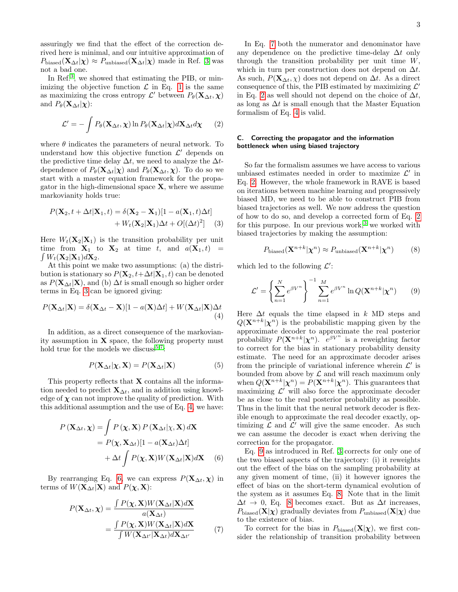assuringly we find that the effect of the correction derived here is minimal, and our intuitive approximation of  $P_{\text{biased}}(\mathbf{X}_{\Delta t}|\boldsymbol{\chi}) \approx P_{\text{unbiased}}(\mathbf{X}_{\Delta t}|\boldsymbol{\chi})$  made in Ref. [3](#page-5-3) was not a bad one.

In Ref.<sup>[3](#page-5-3)</sup>, we showed that estimating the PIB, or minimizing the objective function  $\mathcal L$  in Eq. [1](#page-1-1) is the same as maximizing the cross entropy  $\mathcal{L}'$  between  $P_{\theta}(\mathbf{X}_{\Delta t}, \boldsymbol{\chi})$ and  $P_{\theta}(\mathbf{X}_{\Delta t}|\boldsymbol{\chi})$ :

<span id="page-2-4"></span>
$$
\mathcal{L}' = -\int P_{\theta}(\mathbf{X}_{\Delta t}, \boldsymbol{\chi}) \ln P_{\theta}(\mathbf{X}_{\Delta t}|\boldsymbol{\chi}) d\mathbf{X}_{\Delta t} d\boldsymbol{\chi}
$$
 (2)

where  $\theta$  indicates the parameters of neural network. To understand how this objective function  $\mathcal{L}'$  depends on the predictive time delay  $\Delta t$ , we need to analyze the  $\Delta t$ dependence of  $P_{\theta}(\mathbf{X}_{\Delta t}|\boldsymbol{\chi})$  and  $P_{\theta}(\mathbf{X}_{\Delta t}, \boldsymbol{\chi})$ . To do so we start with a master equation framework for the propagator in the high-dimensional space  $X$ , where we assume markovianity holds true:

$$
P(\mathbf{X}_2, t + \Delta t | \mathbf{X}_1, t) = \delta(\mathbf{X}_2 - \mathbf{X}_1)[1 - a(\mathbf{X}_1, t)\Delta t] + W_t(\mathbf{X}_2 | \mathbf{X}_1) \Delta t + O[(\Delta t)^2]
$$
 (3)

Here  $W_t(\mathbf{X}_2|\mathbf{X}_1)$  is the transition probability per unit  $\int W_t(\mathbf{X}_2|\mathbf{X}_1)d\mathbf{X}_2.$ time from  $X_1$  to  $X_2$  at time t, and  $a(X_1,t)$  =

At this point we make two assumptions: (a) the distribution is stationary so  $P(\mathbf{X}_2, t+\Delta t | \mathbf{X}_1, t)$  can be denoted as  $P(\mathbf{X}_{\Delta t}|\mathbf{X})$ , and (b)  $\Delta t$  is small enough so higher order terms in Eq. [3](#page-2-0) can be ignored giving:

$$
P(\mathbf{X}_{\Delta t}|\mathbf{X}) = \delta(\mathbf{X}_{\Delta t} - \mathbf{X})[1 - a(\mathbf{X})\Delta t] + W(\mathbf{X}_{\Delta t}|\mathbf{X})\Delta t
$$
\n(4)

In addition, as a direct consequence of the markovianity assumption in  $X$  space, the following property must hold true for the models we discuss<sup>[5,](#page-5-2)[7](#page-6-0)</sup>:

$$
P(\mathbf{X}_{\Delta t}|\boldsymbol{\chi}, \mathbf{X}) = P(\mathbf{X}_{\Delta t}|\mathbf{X})\tag{5}
$$

This property reflects that  $X$  contains all the information needed to predict  $\mathbf{X}_{\Delta t}$ , and in addition using knowledge of  $\chi$  can not improve the quality of prediction. With this additional assumption and the use of Eq. [4,](#page-2-1) we have:

$$
P(\mathbf{X}_{\Delta t}, \boldsymbol{\chi}) = \int P(\boldsymbol{\chi}, \mathbf{X}) P(\mathbf{X}_{\Delta t} | \boldsymbol{\chi}, \mathbf{X}) d\mathbf{X}
$$
  
=  $P(\boldsymbol{\chi}, \mathbf{X}_{\Delta t}) [1 - a(\mathbf{X}_{\Delta t}) \Delta t]$   
+  $\Delta t \int P(\boldsymbol{\chi}, \mathbf{X}) W(\mathbf{X}_{\Delta t} | \mathbf{X}) d\mathbf{X}$  (6)

By rearranging Eq. [6,](#page-2-2) we can express  $P(\mathbf{X}_{\Delta t}, \boldsymbol{\chi})$  in terms of  $W(\mathbf{X}_{\Delta t}|\mathbf{X})$  and  $P(\boldsymbol{\chi}, \mathbf{X})$ :

$$
P(\mathbf{X}_{\Delta t}, \mathbf{\chi}) = \frac{\int P(\mathbf{\chi}, \mathbf{X}) W(\mathbf{X}_{\Delta t} | \mathbf{X}) d\mathbf{X}}{a(\mathbf{X}_{\Delta t})}
$$

$$
= \frac{\int P(\mathbf{\chi}, \mathbf{X}) W(\mathbf{X}_{\Delta t} | \mathbf{X}) d\mathbf{X}}{\int W(\mathbf{X}_{\Delta t'} | \mathbf{X}_{\Delta t}) d\mathbf{X}_{\Delta t'}} \tag{7}
$$

In Eq. [7](#page-2-3) both the numerator and denominator have any dependence on the predictive time-delay  $\Delta t$  only through the transition probability per unit time  $W$ , which in turn per construction does not depend on  $\Delta t$ . As such,  $P(\mathbf{X}_{\Delta t}, \chi)$  does not depend on  $\Delta t$ . As a direct consequence of this, the PIB estimated by maximizing  $\mathcal{L}'$ in Eq. [2](#page-2-4) as well should not depend on the choice of  $\Delta t$ , as long as  $\Delta t$  is small enough that the Master Equation formalism of Eq. [4](#page-2-1) is valid.

#### C. Correcting the propagator and the information bottleneck when using biased trajectory

So far the formalism assumes we have access to various unbiased estimates needed in order to maximize  $\mathcal{L}'$  in Eq. [2.](#page-2-4) However, the whole framework in RAVE is based on iterations between machine learning and progressively biased MD, we need to be able to construct PIB from biased trajectories as well. We now address the question of how to do so, and develop a corrected form of Eq. [2](#page-2-4) for this purpose. In our previous work,<sup>[3](#page-5-3)</sup> we worked with biased trajectories by making the assumption:

<span id="page-2-6"></span>
$$
P_{\text{biased}}(\mathbf{X}^{n+k}|\boldsymbol{\chi}^n) \approx P_{\text{unbiased}}(\mathbf{X}^{n+k}|\boldsymbol{\chi}^n)
$$
 (8)

<span id="page-2-0"></span>which led to the following  $\mathcal{L}'$ :

<span id="page-2-5"></span>
$$
\mathcal{L}' = \left\{ \sum_{n=1}^{N} e^{\beta V^n} \right\}^{-1} \sum_{n=1}^{M} e^{\beta V^n} \ln Q(\mathbf{X}^{n+k}|\boldsymbol{\chi}^n) \qquad (9)
$$

<span id="page-2-1"></span>Here  $\Delta t$  equals the time elapsed in k MD steps and  $Q(\mathbf{X}^{n+k}|\boldsymbol{\chi}^n)$  is the probabilistic mapping given by the approximate decoder to approximate the real posterior probability  $P(\mathbf{X}^{n+k}|\boldsymbol{\chi}^n)$ .  $e^{\beta V^n}$  is a reweighting factor to correct for the bias in stationary probability density estimate. The need for an approximate decoder arises from the principle of variational inference wherein  $\mathcal{L}'$  is bounded from above by  $\mathcal L$  and will reach maximum only when  $Q(\mathbf{X}^{n+k}|\boldsymbol{\chi}^n) = P(\mathbf{X}^{n+k}|\boldsymbol{\chi}^n)$ . This guarantees that maximizing  $\mathcal{L}'$  will also force the approximate decoder be as close to the real posterior probability as possible. Thus in the limit that the neural network decoder is flexible enough to approximate the real decoder exactly, optimizing  $\mathcal L$  and  $\mathcal L'$  will give the same encoder. As such we can assume the decoder is exact when deriving the correction for the propagator.

<span id="page-2-2"></span>Eq. [9](#page-2-5) as introduced in Ref. [3](#page-5-3) corrects for only one of the two biased aspects of the trajectory: (i) it reweights out the effect of the bias on the sampling probability at any given moment of time, (ii) it however ignores the effect of bias on the short-term dynamical evolution of the system as it assumes Eq. [8.](#page-2-6) Note that in the limit  $\Delta t \rightarrow 0$ , Eq. [8](#page-2-6) becomes exact. But as  $\Delta t$  increases,  $P_{\text{biased}}(\mathbf{X}|\boldsymbol{\chi})$  gradually deviates from  $P_{\text{unbiased}}(\mathbf{X}|\boldsymbol{\chi})$  due to the existence of bias.

<span id="page-2-3"></span>To correct for the bias in  $P_{\text{biased}}(\mathbf{X}|\boldsymbol{\chi})$ , we first consider the relationship of transition probability between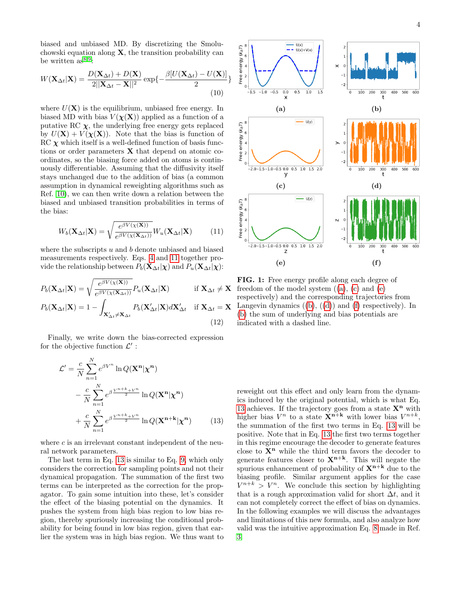biased and unbiased MD. By discretizing the Smoluchowski equation along  $X$ , the transition probability can be written  $as^{8,9}$  $as^{8,9}$  $as^{8,9}$  $as^{8,9}$ :

$$
W(\mathbf{X}_{\Delta t}|\mathbf{X}) = \frac{D(\mathbf{X}_{\Delta t}) + D(\mathbf{X})}{2||\mathbf{X}_{\Delta t} - \mathbf{X}||^2} \exp\left\{-\frac{\beta[U(\mathbf{X}_{\Delta t}) - U(\mathbf{X})]}{2}\right\}
$$
(10)

where  $U(\mathbf{X})$  is the equilibrium, unbiased free energy. In biased MD with bias  $V(\chi(\mathbf{X}))$  applied as a function of a putative RC  $\chi$ , the underlying free energy gets replaced by  $U(\mathbf{X}) + V(\chi(\mathbf{X}))$ . Note that the bias is function of  $RC \chi$  which itself is a well-defined function of basis functions or order parameters  $X$  that depend on atomic coordinates, so the biasing force added on atoms is continuously differentiable. Assuming that the diffusivity itself stays unchanged due to the addition of bias (a common assumption in dynamical reweighting algorithms such as Ref. [10\)](#page-6-3), we can then write down a relation between the biased and unbiased transition probabilities in terms of the bias:

$$
W_b(\mathbf{X}_{\Delta t}|\mathbf{X}) = \sqrt{\frac{e^{\beta V(\chi(\mathbf{X}))}}{e^{\beta V(\chi(\mathbf{X}_{\Delta t}))}}} W_u(\mathbf{X}_{\Delta t}|\mathbf{X})
$$
(11)

where the subscripts  $u$  and  $b$  denote unbiased and biased measurements respectively. Eqs. [4](#page-2-1) and [11](#page-3-0) together provide the relationship between  $P_b(\mathbf{X}_{\Delta t}|\boldsymbol{\chi})$  and  $P_u(\mathbf{X}_{\Delta t}|\boldsymbol{\chi})$ :

$$
P_b(\mathbf{X}_{\Delta t}|\mathbf{X}) = \sqrt{\frac{e^{\beta V(\chi(\mathbf{X}))}}{e^{\beta V(\chi(\mathbf{X}_{\Delta t}))}}} P_u(\mathbf{X}_{\Delta t}|\mathbf{X}) \quad \text{if } \mathbf{X}_{\Delta t} \neq \mathbf{X}
$$

$$
P_b(\mathbf{X}_{\Delta t}|\mathbf{X}) = 1 - \int_{\mathbf{X}_{\Delta t}' \neq \mathbf{X}_{\Delta t}} P_b(\mathbf{X}_{\Delta t}'|\mathbf{X}) d\mathbf{X}_{\Delta t}' \quad \text{if } \mathbf{X}_{\Delta t} = \mathbf{X}
$$
(12)

Finally, we write down the bias-corrected expression for the objective function  $\mathcal{L}'$ :

 $\lambda$ r

$$
\mathcal{L}' = \frac{c}{N} \sum_{n=1}^{N} e^{\beta V^n} \ln Q(\mathbf{X}^n | \mathbf{\chi}^n)
$$

$$
- \frac{c}{N} \sum_{n=1}^{N} e^{\beta \frac{V^{n+k} + V^n}{2}} \ln Q(\mathbf{X}^n | \mathbf{\chi}^n)
$$

$$
+ \frac{c}{N} \sum_{n=1}^{N} e^{\beta \frac{V^{n+k} + V^n}{2}} \ln Q(\mathbf{X}^{n+k} | \mathbf{\chi}^n)
$$
(13)

where  $c$  is an irrelevant constant independent of the neural network parameters.

The last term in Eq. [13](#page-3-1) is similar to Eq. [9,](#page-2-5) which only considers the correction for sampling points and not their dynamical propagation. The summation of the first two terms can be interpreted as the correction for the propagator. To gain some intuition into these, let's consider the effect of the biasing potential on the dynamics. It pushes the system from high bias region to low bias region, thereby spuriously increasing the conditional probability for being found in low bias region, given that earlier the system was in high bias region. We thus want to

<span id="page-3-2"></span>

<span id="page-3-0"></span>FIG. 1: Free energy profile along each degree of freedom of the model system  $((a), (c)$  $((a), (c)$  $((a), (c)$  $((a), (c)$  and  $(e)$ respectively) and the corresponding trajectories from Langevin dynamics  $((b), ((d))$  $((b), ((d))$  $((b), ((d))$  $((b), ((d))$  $((b), ((d))$  and  $(f)$  respectively). In [\(b\)](#page-3-2) the sum of underlying and bias potentials are indicated with a dashed line.

<span id="page-3-1"></span>reweight out this effect and only learn from the dynamics induced by the original potential, which is what Eq. [13](#page-3-1) achieves. If the trajectory goes from a state  $X^n$  with higher bias  $V^n$  to a state  $\mathbf{X}^{n+k}$  with lower bias  $V^{n+k}$ , the summation of the first two terms in Eq. [13](#page-3-1) will be positive. Note that in Eq. [13](#page-3-1) the first two terms together in this regime encourage the decoder to generate features close to  $X<sup>n</sup>$  while the third term favors the decoder to generate features closer to  $X^{n+k}$ . This will negate the spurious enhancement of probability of  $X^{n+k}$  due to the biasing profile. Similar argument applies for the case  $V^{n+k} > V^n$ . We conclude this section by highlighting that is a rough approximation valid for short  $\Delta t$ , and it can not completely correct the effect of bias on dynamics. In the following examples we will discuss the advantages and limitations of this new formula, and also analyze how valid was the intuitive approximation Eq. [8](#page-2-6) made in Ref. [3.](#page-5-3)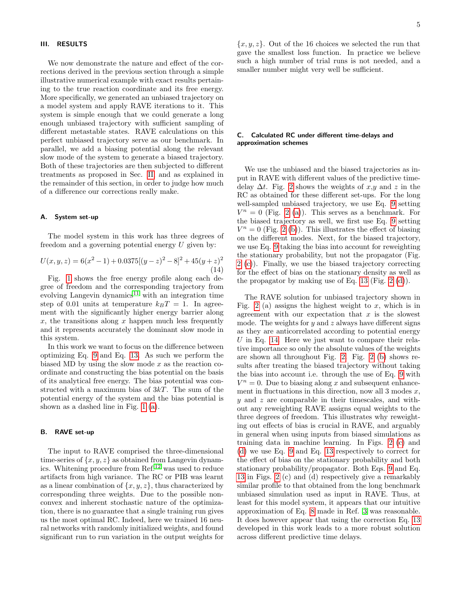#### III. RESULTS

We now demonstrate the nature and effect of the corrections derived in the previous section through a simple illustrative numerical example with exact results pertaining to the true reaction coordinate and its free energy. More specifically, we generated an unbiased trajectory on a model system and apply RAVE iterations to it. This system is simple enough that we could generate a long enough unbiased trajectory with sufficient sampling of different metastable states. RAVE calculations on this perfect unbiased trajectory serve as our benchmark. In parallel, we add a biasing potential along the relevant slow mode of the system to generate a biased trajectory. Both of these trajectories are then subjected to different treatments as proposed in Sec. [II,](#page-1-2) and as explained in the remainder of this section, in order to judge how much of a difference our corrections really make.

### A. System set-up

The model system in this work has three degrees of freedom and a governing potential energy U given by:

<span id="page-4-0"></span>
$$
U(x, y, z) = 6(x2 - 1) + 0.0375[(y - z)2 - 8]2 + 45(y + z)2
$$
\n(14)

Fig. [1](#page-3-2) shows the free energy profile along each degree of freedom and the corresponding trajectory from evolving Langevin dynamics $11$  with an integration time step of 0.01 units at temperature  $k_BT = 1$ . In agreement with the significantly higher energy barrier along  $x$ , the transitions along  $x$  happen much less frequently and it represents accurately the dominant slow mode in this system.

In this work we want to focus on the difference between optimizing Eq. [9](#page-2-5) and Eq. [13.](#page-3-1) As such we perform the biased MD by using the slow mode  $x$  as the reaction coordinate and constructing the bias potential on the basis of its analytical free energy. The bias potential was constructed with a maximum bias of 3kT. The sum of the potential energy of the system and the bias potential is shown as a dashed line in Fig. [1](#page-3-2) [\(a\)](#page-3-2).

#### B. RAVE set-up

The input to RAVE comprised the three-dimensional time-series of  $\{x, y, z\}$  as obtained from Langevin dynamics. Whitening procedure from Ref.[12](#page-6-5) was used to reduce artifacts from high variance. The RC or PIB was learnt as a linear combination of  $\{x, y, z\}$ , thus characterized by corresponding three weights. Due to the possible nonconvex and inherent stochastic nature of the optimization, there is no guarantee that a single training run gives us the most optimal RC. Indeed, here we trained 16 neural networks with randomly initialized weights, and found significant run to run variation in the output weights for

 ${x, y, z}$ . Out of the 16 choices we selected the run that gave the smallest loss function. In practice we believe such a high number of trial runs is not needed, and a smaller number might very well be sufficient.

## C. Calculated RC under different time-delays and approximation schemes

We use the unbiased and the biased trajectories as input in RAVE with different values of the predictive timedelay  $\Delta t$ . Fig. [2](#page-5-5) shows the weights of x,y and z in the RC as obtained for these different set-ups. For the long well-sampled unbiased trajectory, we use Eq. [9](#page-2-5) setting  $V^n = 0$  (Fig. [2](#page-5-5) [\(a\)](#page-5-5)). This serves as a benchmark. For the biased trajectory as well, we first use Eq. [9](#page-2-5) setting  $V^n = 0$  (Fig. [2](#page-5-5) [\(b\)](#page-5-5)). This illustrates the effect of biasing on the different modes. Next, for the biased trajectory, we use Eq. [9](#page-2-5) taking the bias into account for reweighting the stationary probability, but not the propagator (Fig. [2](#page-5-5) [\(c\)](#page-5-5)). Finally, we use the biased trajectory correcting for the effect of bias on the stationary density as well as the propagator by making use of Eq. [13](#page-3-1) (Fig. [2](#page-5-5) [\(d\)](#page-5-5)).

The RAVE solution for unbiased trajectory shown in Fig. [2](#page-5-5) (a) assigns the highest weight to x, which is in agreement with our expectation that  $x$  is the slowest mode. The weights for  $y$  and  $z$  always have different signs as they are anticorrelated according to potential energy  $U$  in Eq. [14.](#page-4-0) Here we just want to compare their relative importance so only the absolute values of the weights are shown all throughout Fig. [2.](#page-5-5) Fig. [2](#page-5-5) [\(b\)](#page-5-5) shows results after treating the biased trajectory without taking the bias into account i.e. through the use of Eq. [9](#page-2-5) with  $V^n = 0$ . Due to biasing along x and subsequent enhancement in fluctuations in this direction, now all  $3$  modes  $x$ ,  $y$  and  $z$  are comparable in their timescales, and without any reweighting RAVE assigns equal weights to the three degrees of freedom. This illustrates why reweighting out effects of bias is crucial in RAVE, and arguably in general when using inputs from biased simulations as training data in machine learning. In Figs. [2](#page-5-5) [\(c\)](#page-5-5) and [\(d\)](#page-5-5) we use Eq. [9](#page-2-5) and Eq. [13](#page-3-1) respectively to correct for the effect of bias on the stationary probability and both stationary probability/propagator. Both Eqs. [9](#page-2-5) and Eq. [13](#page-3-1) in Figs. [2](#page-5-5) (c) and (d) respectively give a remarkably similar profile to that obtained from the long benchmark unbiased simulation used as input in RAVE. Thus, at least for this model system, it appears that our intuitive approximation of Eq. [8](#page-2-6) made in Ref. [3](#page-5-3) was reasonable. It does however appear that using the correction Eq. [13](#page-3-1) developed in this work leads to a more robust solution across different predictive time delays.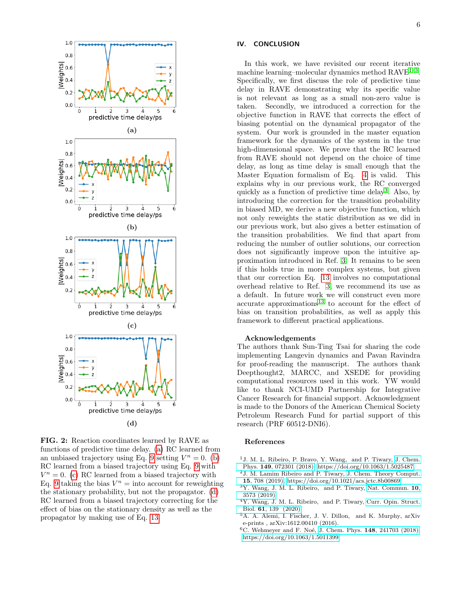<span id="page-5-5"></span>

FIG. 2: Reaction coordinates learned by RAVE as functions of predictive time delay. [\(a\)](#page-5-5) RC learned from an unbiased trajectory using Eq. [9](#page-2-5) setting  $V^n = 0$ . [\(b\)](#page-5-5) RC learned from a biased trajectory using Eq. [9](#page-2-5) with  $V^n = 0$ . [\(c\)](#page-5-5) RC learned from a biased trajectory with Eq. [9](#page-2-5) taking the bias  $V^n = \text{into account for reweighting}$ the stationary probability, but not the propagator. [\(d\)](#page-5-5) RC learned from a biased trajectory correcting for the effect of bias on the stationary density as well as the propagator by making use of Eq. [13.](#page-3-1)

## IV. CONCLUSION

In this work, we have revisited our recent iterative machine learning-molecular dynamics method RAVE<sup>1-[3](#page-5-3)</sup>. Specifically, we first discuss the role of predictive time delay in RAVE demonstrating why its specific value is not relevant as long as a small non-zero value is taken. Secondly, we introduced a correction for the objective function in RAVE that corrects the effect of biasing potential on the dynamical propagator of the system. Our work is grounded in the master equation framework for the dynamics of the system in the true high-dimensional space. We prove that the RC learned from RAVE should not depend on the choice of time delay, as long as time delay is small enough that the Master Equation formalism of Eq. [4](#page-2-1) is valid. This explains why in our previous work, the RC converged quickly as a function of predictive time delay[3](#page-5-3) . Also, by introducing the correction for the transition probability in biased MD, we derive a new objective function, which not only reweights the static distribution as we did in our previous work, but also gives a better estimation of the transition probabilities. We find that apart from reducing the number of outlier solutions, our correction does not significantly improve upon the intuitive approximation introduced in Ref. [3.](#page-5-3) It remains to be seen if this holds true in more complex systems, but given that our correction Eq. [13](#page-3-1) involves no computational overhead relative to Ref. [3,](#page-5-3) we recommend its use as a default. In future work we will construct even more  $\alpha$ ccurate approximations<sup>[13](#page-6-6)</sup> to account for the effect of bias on transition probabilities, as well as apply this framework to different practical applications.

### Acknowledgements

The authors thank Sun-Ting Tsai for sharing the code implementing Langevin dynamics and Pavan Ravindra for proof-reading the manuscript. The authors thank Deepthought2, MARCC, and XSEDE for providing computational resources used in this work. YW would like to thank NCI-UMD Partnership for Integrative Cancer Research for financial support. Acknowledgment is made to the Donors of the American Chemical Society Petroleum Research Fund for partial support of this research (PRF 60512-DNI6).

#### References

- <span id="page-5-0"></span><sup>1</sup>J. M. L. Ribeiro, P. Bravo, Y. Wang, and P. Tiwary, [J. Chem.](http://dx.doi.org/10.1063/1.5025487) Phys. 149[, 072301 \(2018\),](http://dx.doi.org/10.1063/1.5025487) [https://doi.org/10.1063/1.5025487.](http://arxiv.org/abs/https://doi.org/10.1063/1.5025487)
- <sup>2</sup>J. M. Lamim Ribeiro and P. Tiwary, [J. Chem. Theory Comput.](http://dx.doi.org/10.1021/acs.jctc.8b00869) 15[, 708 \(2019\),](http://dx.doi.org/10.1021/acs.jctc.8b00869) [https://doi.org/10.1021/acs.jctc.8b00869.](http://arxiv.org/abs/https://doi.org/10.1021/acs.jctc.8b00869)
- <span id="page-5-3"></span><sup>3</sup>Y. Wang, J. M. L. Ribeiro, and P. Tiwary, [Nat. Commun.](http://dx.doi.org/10.1038/s41467-019-11405-4) 10, [3573 \(2019\).](http://dx.doi.org/10.1038/s41467-019-11405-4)
- <span id="page-5-1"></span><sup>4</sup>Y. Wang, J. M. L. Ribeiro, and P. Tiwary, [Curr. Opin. Struct.](http://dx.doi.org/https://doi.org/10.1016/j.sbi.2019.12.016) Biol. 61[, 139 \(2020\).](http://dx.doi.org/https://doi.org/10.1016/j.sbi.2019.12.016)
- <span id="page-5-2"></span><sup>5</sup>A. A. Alemi, I. Fischer, J. V. Dillon, and K. Murphy, arXiv e-prints , arXiv:1612.00410 (2016).
- <span id="page-5-4"></span> ${}^{6}$ C. Wehmeyer and F. Noé, J. Chem. Phys. 148[, 241703 \(2018\),](http://dx.doi.org/10.1063/1.5011399) [https://doi.org/10.1063/1.5011399.](http://arxiv.org/abs/https://doi.org/10.1063/1.5011399)